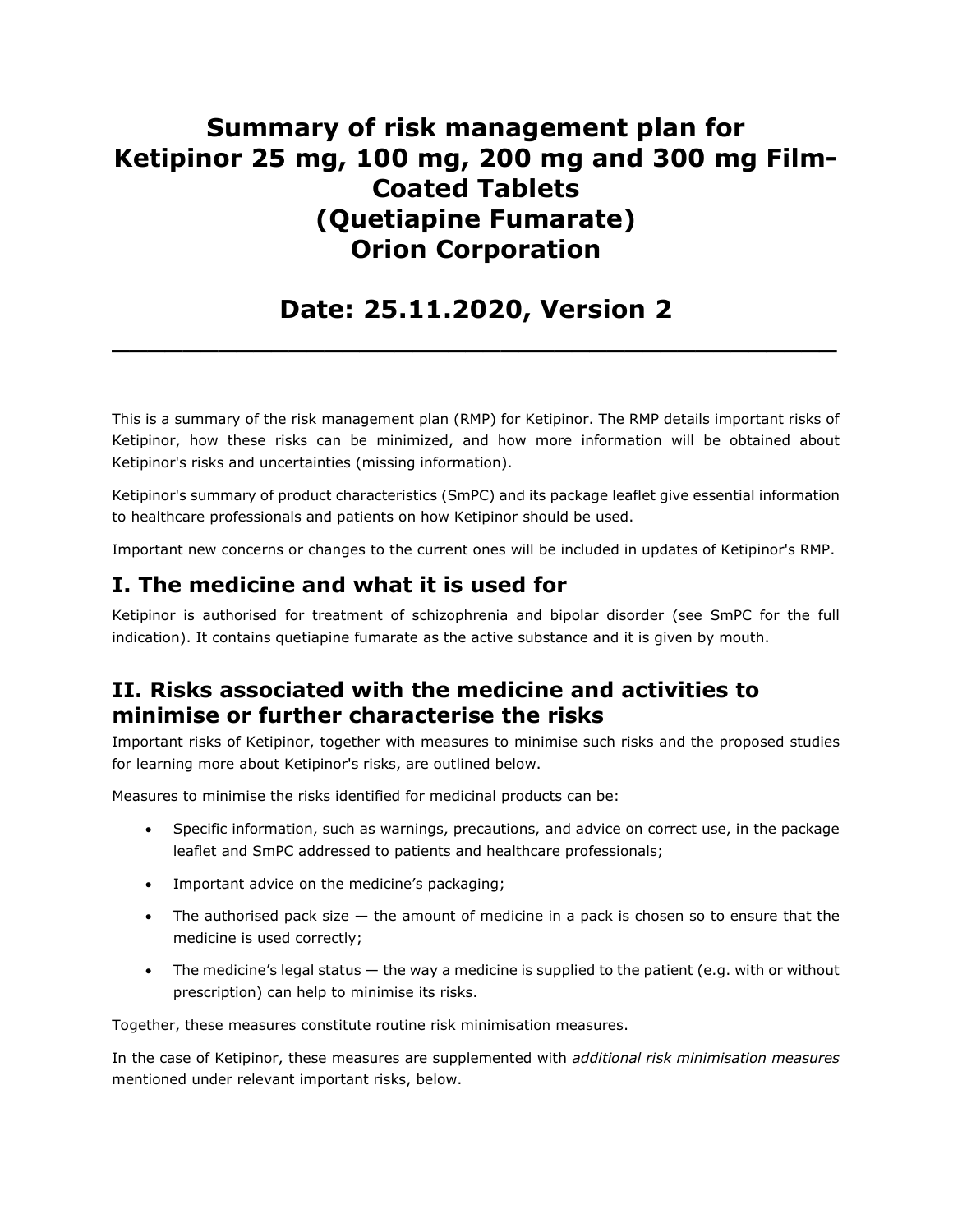# Summary of risk management plan for Ketipinor 25 mg, 100 mg, 200 mg and 300 mg Film-Coated Tablets (Quetiapine Fumarate) Orion Corporation

## Date: 25.11.2020, Version 2

 $\overline{\phantom{a}}$  , and the contract of the contract of the contract of the contract of the contract of the contract of the contract of the contract of the contract of the contract of the contract of the contract of the contrac

This is a summary of the risk management plan (RMP) for Ketipinor. The RMP details important risks of Ketipinor, how these risks can be minimized, and how more information will be obtained about Ketipinor's risks and uncertainties (missing information).

Ketipinor's summary of product characteristics (SmPC) and its package leaflet give essential information to healthcare professionals and patients on how Ketipinor should be used.

Important new concerns or changes to the current ones will be included in updates of Ketipinor's RMP.

### I. The medicine and what it is used for

Ketipinor is authorised for treatment of schizophrenia and bipolar disorder (see SmPC for the full indication). It contains quetiapine fumarate as the active substance and it is given by mouth.

### II. Risks associated with the medicine and activities to minimise or further characterise the risks

Important risks of Ketipinor, together with measures to minimise such risks and the proposed studies for learning more about Ketipinor's risks, are outlined below.

Measures to minimise the risks identified for medicinal products can be:

- Specific information, such as warnings, precautions, and advice on correct use, in the package leaflet and SmPC addressed to patients and healthcare professionals;
- Important advice on the medicine's packaging;
- The authorised pack size the amount of medicine in a pack is chosen so to ensure that the medicine is used correctly;
- The medicine's legal status the way a medicine is supplied to the patient (e.g. with or without prescription) can help to minimise its risks.

Together, these measures constitute routine risk minimisation measures.

In the case of Ketipinor, these measures are supplemented with additional risk minimisation measures mentioned under relevant important risks, below.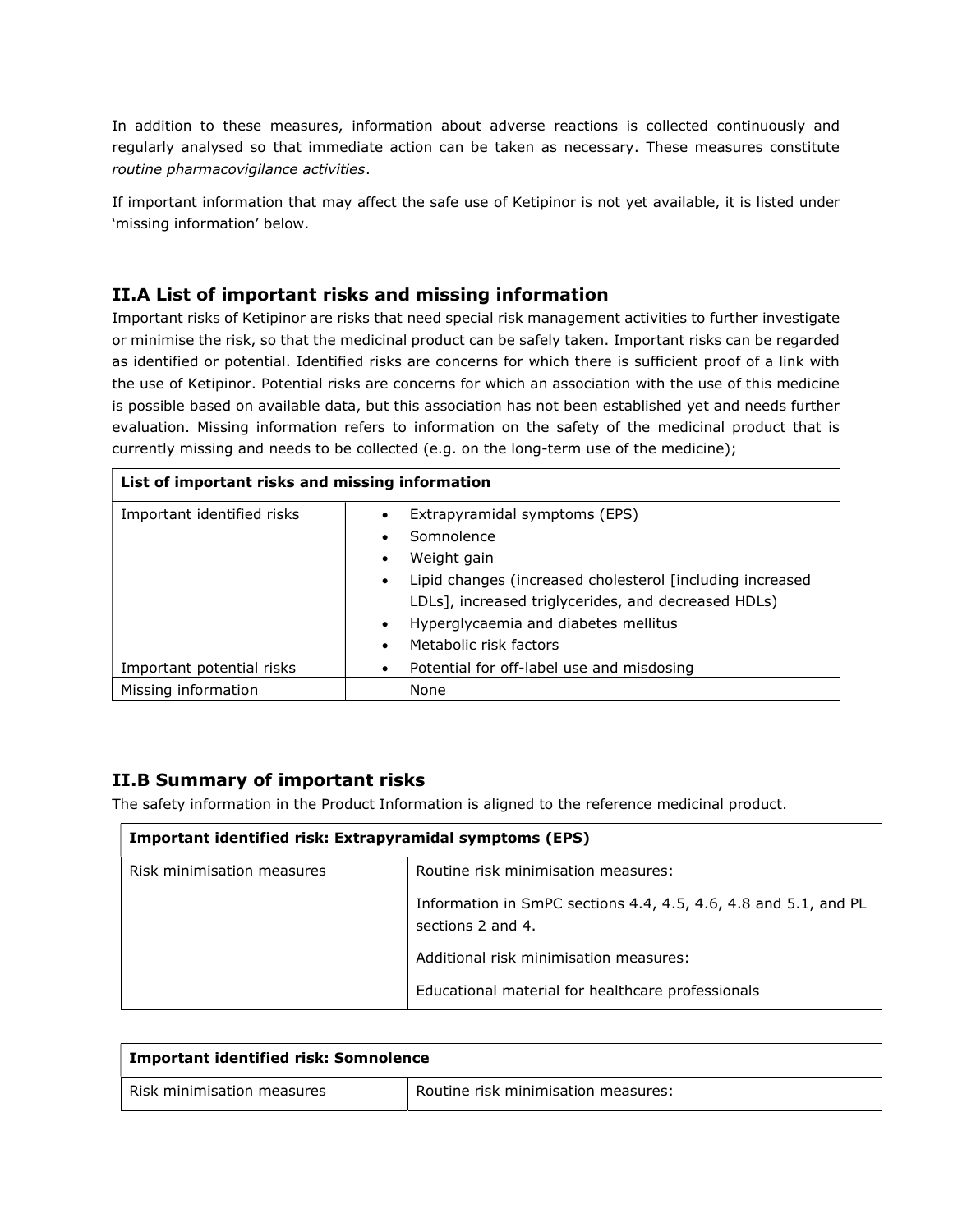In addition to these measures, information about adverse reactions is collected continuously and regularly analysed so that immediate action can be taken as necessary. These measures constitute routine pharmacovigilance activities.

If important information that may affect the safe use of Ketipinor is not yet available, it is listed under 'missing information' below.

#### II.A List of important risks and missing information

Important risks of Ketipinor are risks that need special risk management activities to further investigate or minimise the risk, so that the medicinal product can be safely taken. Important risks can be regarded as identified or potential. Identified risks are concerns for which there is sufficient proof of a link with the use of Ketipinor. Potential risks are concerns for which an association with the use of this medicine is possible based on available data, but this association has not been established yet and needs further evaluation. Missing information refers to information on the safety of the medicinal product that is currently missing and needs to be collected (e.g. on the long-term use of the medicine);

| List of important risks and missing information |                                                                                                                                                                                                                                                                                         |
|-------------------------------------------------|-----------------------------------------------------------------------------------------------------------------------------------------------------------------------------------------------------------------------------------------------------------------------------------------|
| Important identified risks                      | Extrapyramidal symptoms (EPS)<br>Somnolence<br>Weight gain<br>$\bullet$<br>Lipid changes (increased cholesterol [including increased<br>$\bullet$<br>LDLs], increased triglycerides, and decreased HDLs)<br>Hyperglycaemia and diabetes mellitus<br>$\bullet$<br>Metabolic risk factors |
| Important potential risks                       | Potential for off-label use and misdosing<br>$\bullet$                                                                                                                                                                                                                                  |
| Missing information                             | None                                                                                                                                                                                                                                                                                    |

#### II.B Summary of important risks

The safety information in the Product Information is aligned to the reference medicinal product.

| Important identified risk: Extrapyramidal symptoms (EPS) |                                                                                      |
|----------------------------------------------------------|--------------------------------------------------------------------------------------|
| Risk minimisation measures                               | Routine risk minimisation measures:                                                  |
|                                                          | Information in SmPC sections 4.4, 4.5, 4.6, 4.8 and 5.1, and PL<br>sections 2 and 4. |
|                                                          | Additional risk minimisation measures:                                               |
|                                                          | Educational material for healthcare professionals                                    |

| <b>Important identified risk: Somnolence</b> |                                     |
|----------------------------------------------|-------------------------------------|
| Risk minimisation measures                   | Routine risk minimisation measures: |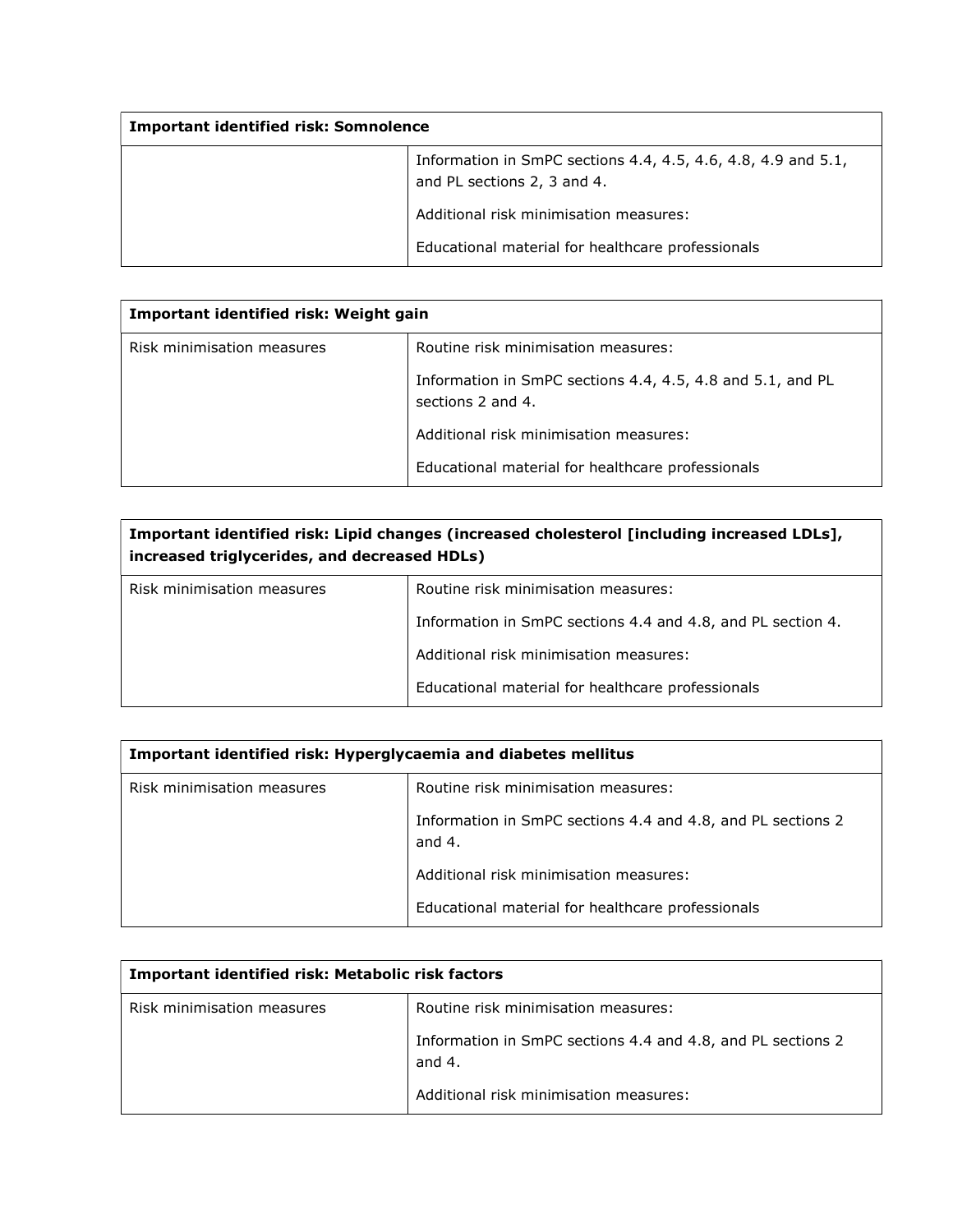| <b>Important identified risk: Somnolence</b> |                                                                                              |
|----------------------------------------------|----------------------------------------------------------------------------------------------|
|                                              | Information in SmPC sections 4.4, 4.5, 4.6, 4.8, 4.9 and 5.1,<br>and PL sections 2, 3 and 4. |
|                                              | Additional risk minimisation measures:                                                       |
|                                              | Educational material for healthcare professionals                                            |

| Important identified risk: Weight gain |                                                                                 |
|----------------------------------------|---------------------------------------------------------------------------------|
| Risk minimisation measures             | Routine risk minimisation measures:                                             |
|                                        | Information in SmPC sections 4.4, 4.5, 4.8 and 5.1, and PL<br>sections 2 and 4. |
|                                        | Additional risk minimisation measures:                                          |
|                                        | Educational material for healthcare professionals                               |

| Important identified risk: Lipid changes (increased cholesterol [including increased LDLs],<br>increased triglycerides, and decreased HDLs) |                                                             |
|---------------------------------------------------------------------------------------------------------------------------------------------|-------------------------------------------------------------|
| Risk minimisation measures                                                                                                                  | Routine risk minimisation measures:                         |
|                                                                                                                                             | Information in SmPC sections 4.4 and 4.8, and PL section 4. |
|                                                                                                                                             | Additional risk minimisation measures:                      |
|                                                                                                                                             | Educational material for healthcare professionals           |

| Important identified risk: Hyperglycaemia and diabetes mellitus |                                                                         |
|-----------------------------------------------------------------|-------------------------------------------------------------------------|
| Risk minimisation measures                                      | Routine risk minimisation measures:                                     |
|                                                                 | Information in SmPC sections 4.4 and 4.8, and PL sections 2<br>and $4.$ |
|                                                                 | Additional risk minimisation measures:                                  |
|                                                                 | Educational material for healthcare professionals                       |

| Important identified risk: Metabolic risk factors |                                                                         |
|---------------------------------------------------|-------------------------------------------------------------------------|
| Risk minimisation measures                        | Routine risk minimisation measures:                                     |
|                                                   | Information in SmPC sections 4.4 and 4.8, and PL sections 2<br>and $4.$ |
|                                                   | Additional risk minimisation measures:                                  |